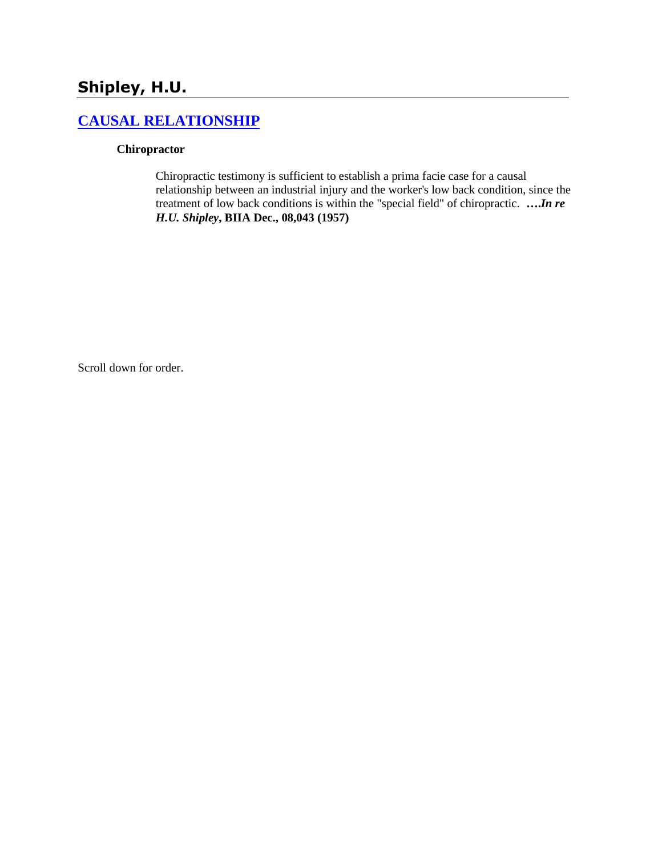# **Shipley, H.U.**

# **[CAUSAL RELATIONSHIP](http://www.biia.wa.gov/SDSubjectIndex.html#CAUSAL_RELATIONSHIP/)**

### **Chiropractor**

Chiropractic testimony is sufficient to establish a prima facie case for a causal relationship between an industrial injury and the worker's low back condition, since the treatment of low back conditions is within the "special field" of chiropractic. **….***In re H.U. Shipley***, BIIA Dec., 08,043 (1957)** 

Scroll down for order.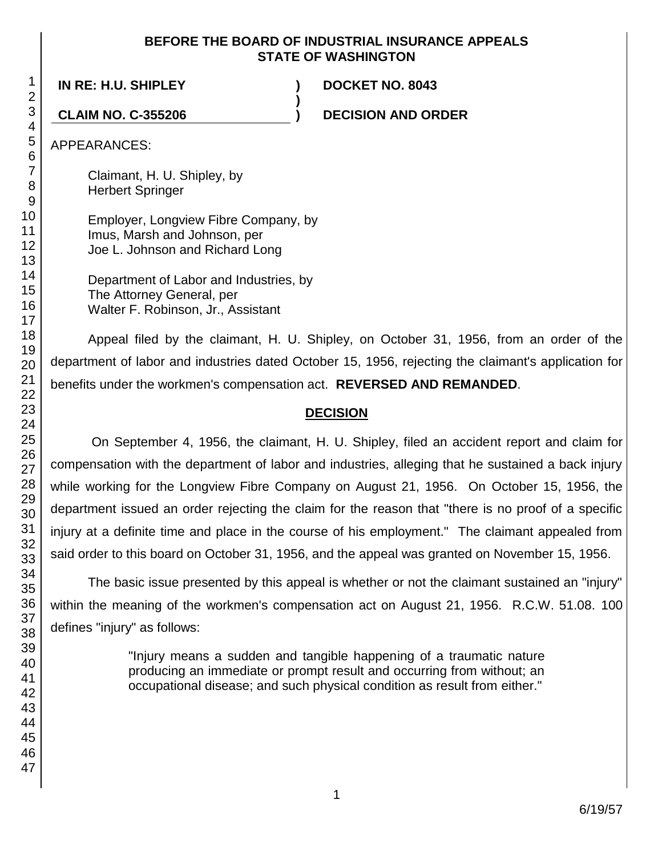### **BEFORE THE BOARD OF INDUSTRIAL INSURANCE APPEALS STATE OF WASHINGTON**

**)**

**IN RE: H.U. SHIPLEY ) DOCKET NO. 8043**

**CLAIM NO. C-355206 ) DECISION AND ORDER**

APPEARANCES:

Claimant, H. U. Shipley, by Herbert Springer

Employer, Longview Fibre Company, by Imus, Marsh and Johnson, per Joe L. Johnson and Richard Long

Department of Labor and Industries, by The Attorney General, per Walter F. Robinson, Jr., Assistant

Appeal filed by the claimant, H. U. Shipley, on October 31, 1956, from an order of the department of labor and industries dated October 15, 1956, rejecting the claimant's application for benefits under the workmen's compensation act. **REVERSED AND REMANDED**.

# **DECISION**

On September 4, 1956, the claimant, H. U. Shipley, filed an accident report and claim for compensation with the department of labor and industries, alleging that he sustained a back injury while working for the Longview Fibre Company on August 21, 1956. On October 15, 1956, the department issued an order rejecting the claim for the reason that "there is no proof of a specific injury at a definite time and place in the course of his employment." The claimant appealed from said order to this board on October 31, 1956, and the appeal was granted on November 15, 1956.

The basic issue presented by this appeal is whether or not the claimant sustained an "injury" within the meaning of the workmen's compensation act on August 21, 1956. R.C.W. 51.08. 100 defines "injury" as follows:

> "Injury means a sudden and tangible happening of a traumatic nature producing an immediate or prompt result and occurring from without; an occupational disease; and such physical condition as result from either."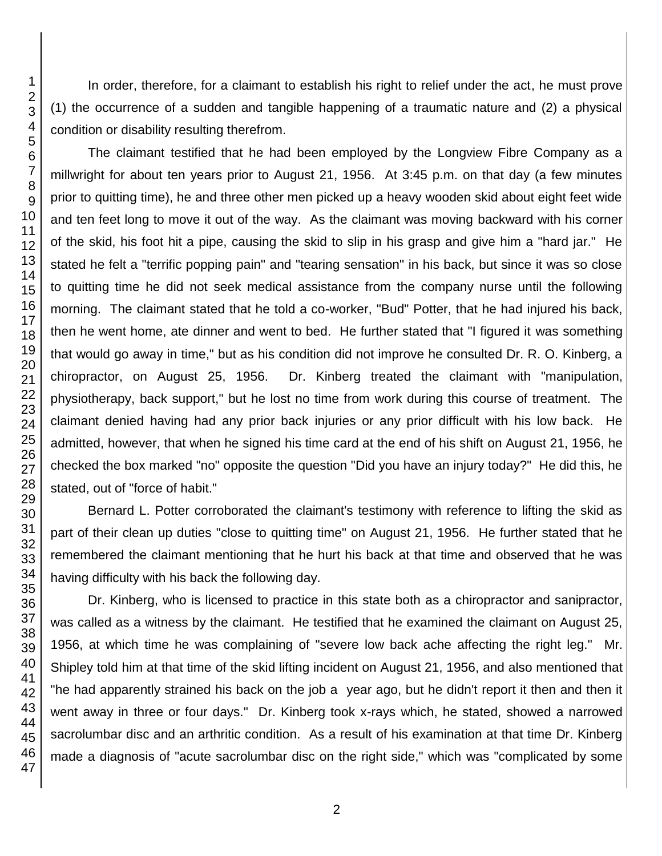In order, therefore, for a claimant to establish his right to relief under the act, he must prove (1) the occurrence of a sudden and tangible happening of a traumatic nature and (2) a physical condition or disability resulting therefrom.

The claimant testified that he had been employed by the Longview Fibre Company as a millwright for about ten years prior to August 21, 1956. At 3:45 p.m. on that day (a few minutes prior to quitting time), he and three other men picked up a heavy wooden skid about eight feet wide and ten feet long to move it out of the way. As the claimant was moving backward with his corner of the skid, his foot hit a pipe, causing the skid to slip in his grasp and give him a "hard jar." He stated he felt a "terrific popping pain" and "tearing sensation" in his back, but since it was so close to quitting time he did not seek medical assistance from the company nurse until the following morning. The claimant stated that he told a co-worker, "Bud" Potter, that he had injured his back, then he went home, ate dinner and went to bed. He further stated that "I figured it was something that would go away in time," but as his condition did not improve he consulted Dr. R. O. Kinberg, a chiropractor, on August 25, 1956. Dr. Kinberg treated the claimant with "manipulation, physiotherapy, back support," but he lost no time from work during this course of treatment. The claimant denied having had any prior back injuries or any prior difficult with his low back. He admitted, however, that when he signed his time card at the end of his shift on August 21, 1956, he checked the box marked "no" opposite the question "Did you have an injury today?" He did this, he stated, out of "force of habit."

Bernard L. Potter corroborated the claimant's testimony with reference to lifting the skid as part of their clean up duties "close to quitting time" on August 21, 1956. He further stated that he remembered the claimant mentioning that he hurt his back at that time and observed that he was having difficulty with his back the following day.

Dr. Kinberg, who is licensed to practice in this state both as a chiropractor and sanipractor, was called as a witness by the claimant. He testified that he examined the claimant on August 25, 1956, at which time he was complaining of "severe low back ache affecting the right leg." Mr. Shipley told him at that time of the skid lifting incident on August 21, 1956, and also mentioned that "he had apparently strained his back on the job a year ago, but he didn't report it then and then it went away in three or four days." Dr. Kinberg took x-rays which, he stated, showed a narrowed sacrolumbar disc and an arthritic condition. As a result of his examination at that time Dr. Kinberg made a diagnosis of "acute sacrolumbar disc on the right side," which was "complicated by some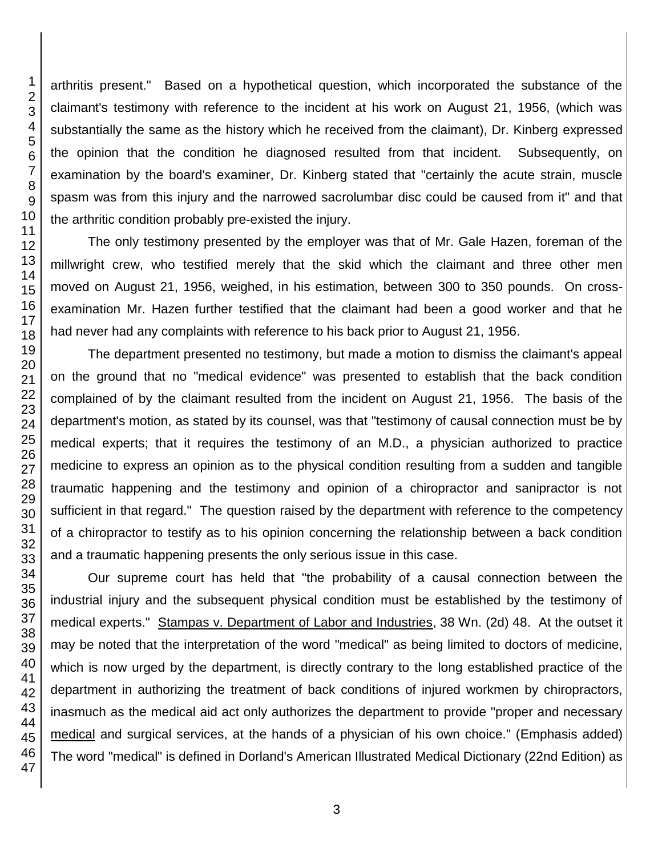arthritis present." Based on a hypothetical question, which incorporated the substance of the claimant's testimony with reference to the incident at his work on August 21, 1956, (which was substantially the same as the history which he received from the claimant), Dr. Kinberg expressed the opinion that the condition he diagnosed resulted from that incident. Subsequently, on examination by the board's examiner, Dr. Kinberg stated that "certainly the acute strain, muscle spasm was from this injury and the narrowed sacrolumbar disc could be caused from it" and that the arthritic condition probably pre-existed the injury.

The only testimony presented by the employer was that of Mr. Gale Hazen, foreman of the millwright crew, who testified merely that the skid which the claimant and three other men moved on August 21, 1956, weighed, in his estimation, between 300 to 350 pounds. On crossexamination Mr. Hazen further testified that the claimant had been a good worker and that he had never had any complaints with reference to his back prior to August 21, 1956.

The department presented no testimony, but made a motion to dismiss the claimant's appeal on the ground that no "medical evidence" was presented to establish that the back condition complained of by the claimant resulted from the incident on August 21, 1956. The basis of the department's motion, as stated by its counsel, was that "testimony of causal connection must be by medical experts; that it requires the testimony of an M.D., a physician authorized to practice medicine to express an opinion as to the physical condition resulting from a sudden and tangible traumatic happening and the testimony and opinion of a chiropractor and sanipractor is not sufficient in that regard." The question raised by the department with reference to the competency of a chiropractor to testify as to his opinion concerning the relationship between a back condition and a traumatic happening presents the only serious issue in this case.

Our supreme court has held that "the probability of a causal connection between the industrial injury and the subsequent physical condition must be established by the testimony of medical experts." Stampas v. Department of Labor and Industries, 38 Wn. (2d) 48. At the outset it may be noted that the interpretation of the word "medical" as being limited to doctors of medicine, which is now urged by the department, is directly contrary to the long established practice of the department in authorizing the treatment of back conditions of injured workmen by chiropractors, inasmuch as the medical aid act only authorizes the department to provide "proper and necessary medical and surgical services, at the hands of a physician of his own choice." (Emphasis added) The word "medical" is defined in Dorland's American Illustrated Medical Dictionary (22nd Edition) as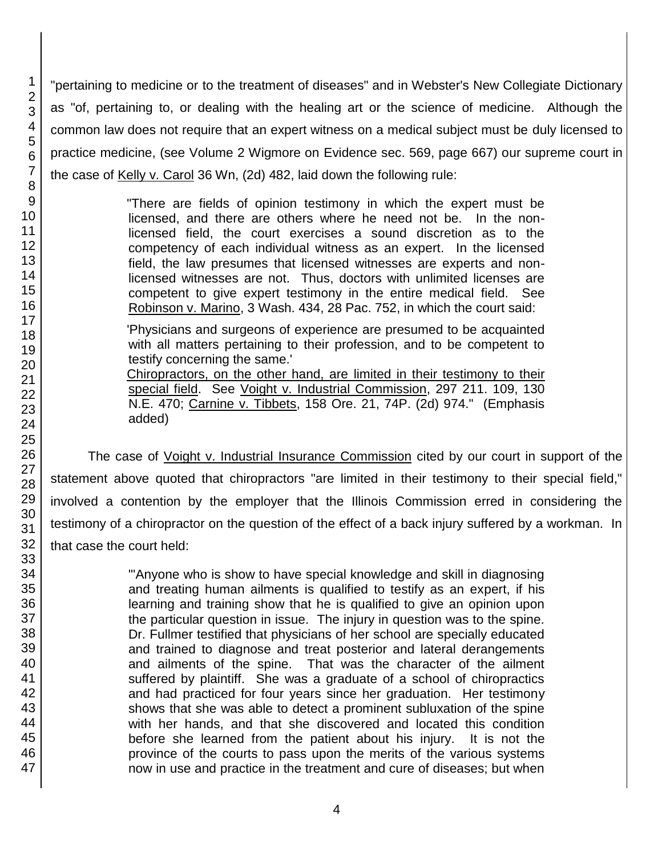"pertaining to medicine or to the treatment of diseases" and in Webster's New Collegiate Dictionary as "of, pertaining to, or dealing with the healing art or the science of medicine. Although the common law does not require that an expert witness on a medical subject must be duly licensed to practice medicine, (see Volume 2 Wigmore on Evidence sec. 569, page 667) our supreme court in the case of Kelly v. Carol 36 Wn, (2d) 482, laid down the following rule:

> "There are fields of opinion testimony in which the expert must be licensed, and there are others where he need not be. In the nonlicensed field, the court exercises a sound discretion as to the competency of each individual witness as an expert. In the licensed field, the law presumes that licensed witnesses are experts and nonlicensed witnesses are not. Thus, doctors with unlimited licenses are competent to give expert testimony in the entire medical field. See Robinson v. Marino, 3 Wash. 434, 28 Pac. 752, in which the court said:

> 'Physicians and surgeons of experience are presumed to be acquainted with all matters pertaining to their profession, and to be competent to testify concerning the same.'

> Chiropractors, on the other hand, are limited in their testimony to their special field. See Voight v. Industrial Commission, 297 211. 109, 130 N.E. 470; Carnine v. Tibbets, 158 Ore. 21, 74P. (2d) 974." (Emphasis added)

The case of *Voight v. Industrial Insurance Commission* cited by our court in support of the statement above quoted that chiropractors "are limited in their testimony to their special field," involved a contention by the employer that the Illinois Commission erred in considering the testimony of a chiropractor on the question of the effect of a back injury suffered by a workman. In that case the court held:

> "'Anyone who is show to have special knowledge and skill in diagnosing and treating human ailments is qualified to testify as an expert, if his learning and training show that he is qualified to give an opinion upon the particular question in issue. The injury in question was to the spine. Dr. Fullmer testified that physicians of her school are specially educated and trained to diagnose and treat posterior and lateral derangements and ailments of the spine. That was the character of the ailment suffered by plaintiff. She was a graduate of a school of chiropractics and had practiced for four years since her graduation. Her testimony shows that she was able to detect a prominent subluxation of the spine with her hands, and that she discovered and located this condition before she learned from the patient about his injury. It is not the province of the courts to pass upon the merits of the various systems now in use and practice in the treatment and cure of diseases; but when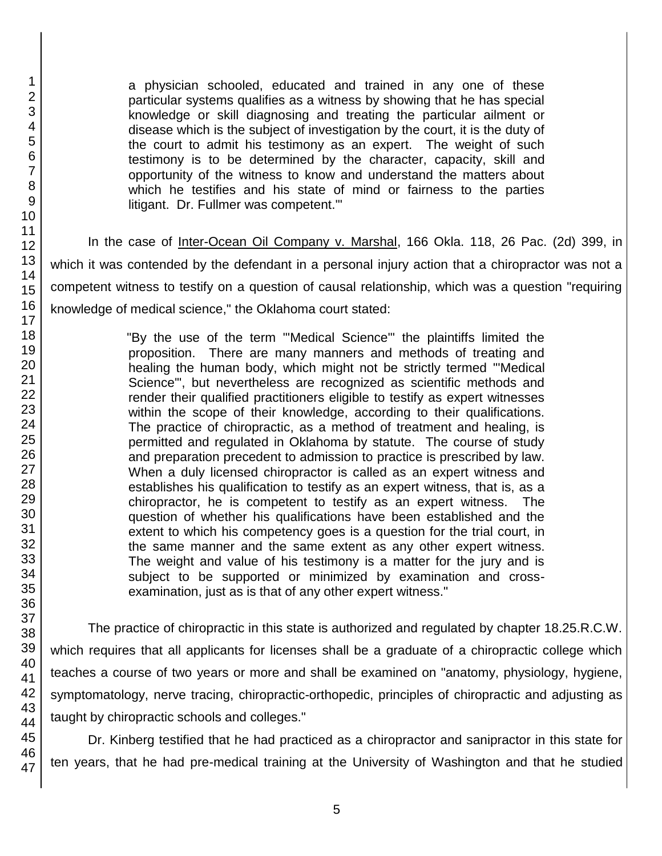a physician schooled, educated and trained in any one of these particular systems qualifies as a witness by showing that he has special knowledge or skill diagnosing and treating the particular ailment or disease which is the subject of investigation by the court, it is the duty of the court to admit his testimony as an expert. The weight of such testimony is to be determined by the character, capacity, skill and opportunity of the witness to know and understand the matters about which he testifies and his state of mind or fairness to the parties litigant. Dr. Fullmer was competent.'"

In the case of Inter-Ocean Oil Company v. Marshal, 166 Okla. 118, 26 Pac. (2d) 399, in which it was contended by the defendant in a personal injury action that a chiropractor was not a competent witness to testify on a question of causal relationship, which was a question "requiring knowledge of medical science," the Oklahoma court stated:

> "By the use of the term "'Medical Science'" the plaintiffs limited the proposition. There are many manners and methods of treating and healing the human body, which might not be strictly termed "'Medical Science'", but nevertheless are recognized as scientific methods and render their qualified practitioners eligible to testify as expert witnesses within the scope of their knowledge, according to their qualifications. The practice of chiropractic, as a method of treatment and healing, is permitted and regulated in Oklahoma by statute. The course of study and preparation precedent to admission to practice is prescribed by law. When a duly licensed chiropractor is called as an expert witness and establishes his qualification to testify as an expert witness, that is, as a chiropractor, he is competent to testify as an expert witness. The question of whether his qualifications have been established and the extent to which his competency goes is a question for the trial court, in the same manner and the same extent as any other expert witness. The weight and value of his testimony is a matter for the jury and is subject to be supported or minimized by examination and crossexamination, just as is that of any other expert witness."

The practice of chiropractic in this state is authorized and regulated by chapter 18.25.R.C.W. which requires that all applicants for licenses shall be a graduate of a chiropractic college which teaches a course of two years or more and shall be examined on "anatomy, physiology, hygiene, symptomatology, nerve tracing, chiropractic-orthopedic, principles of chiropractic and adjusting as taught by chiropractic schools and colleges."

Dr. Kinberg testified that he had practiced as a chiropractor and sanipractor in this state for ten years, that he had pre-medical training at the University of Washington and that he studied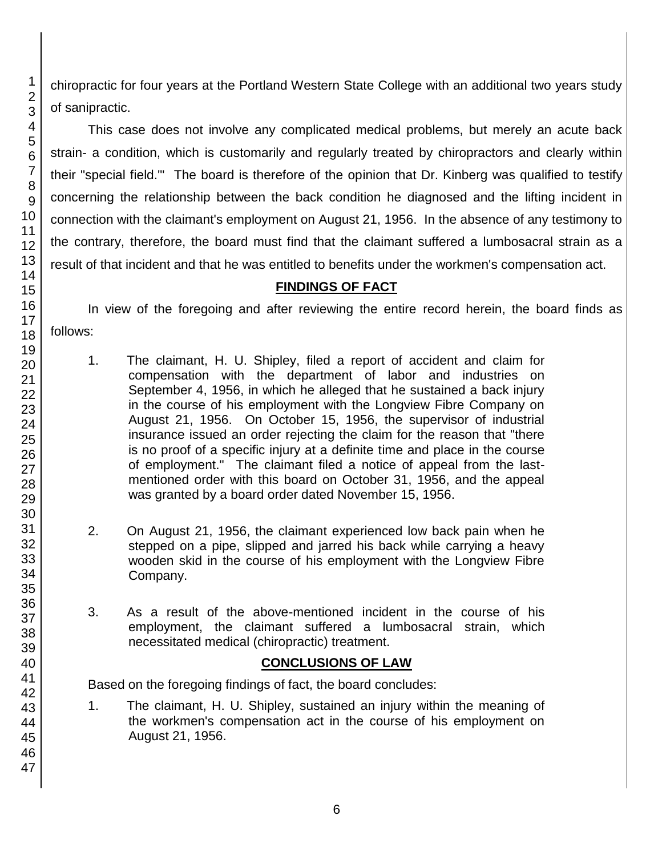chiropractic for four years at the Portland Western State College with an additional two years study of sanipractic.

This case does not involve any complicated medical problems, but merely an acute back strain- a condition, which is customarily and regularly treated by chiropractors and clearly within their "special field.'" The board is therefore of the opinion that Dr. Kinberg was qualified to testify concerning the relationship between the back condition he diagnosed and the lifting incident in connection with the claimant's employment on August 21, 1956. In the absence of any testimony to the contrary, therefore, the board must find that the claimant suffered a lumbosacral strain as a result of that incident and that he was entitled to benefits under the workmen's compensation act.

## **FINDINGS OF FACT**

In view of the foregoing and after reviewing the entire record herein, the board finds as follows:

- 1. The claimant, H. U. Shipley, filed a report of accident and claim for compensation with the department of labor and industries on September 4, 1956, in which he alleged that he sustained a back injury in the course of his employment with the Longview Fibre Company on August 21, 1956. On October 15, 1956, the supervisor of industrial insurance issued an order rejecting the claim for the reason that "there is no proof of a specific injury at a definite time and place in the course of employment." The claimant filed a notice of appeal from the lastmentioned order with this board on October 31, 1956, and the appeal was granted by a board order dated November 15, 1956.
- 2. On August 21, 1956, the claimant experienced low back pain when he stepped on a pipe, slipped and jarred his back while carrying a heavy wooden skid in the course of his employment with the Longview Fibre Company.
- 3. As a result of the above-mentioned incident in the course of his employment, the claimant suffered a lumbosacral strain, which necessitated medical (chiropractic) treatment.

# **CONCLUSIONS OF LAW**

Based on the foregoing findings of fact, the board concludes:

1. The claimant, H. U. Shipley, sustained an injury within the meaning of the workmen's compensation act in the course of his employment on August 21, 1956.